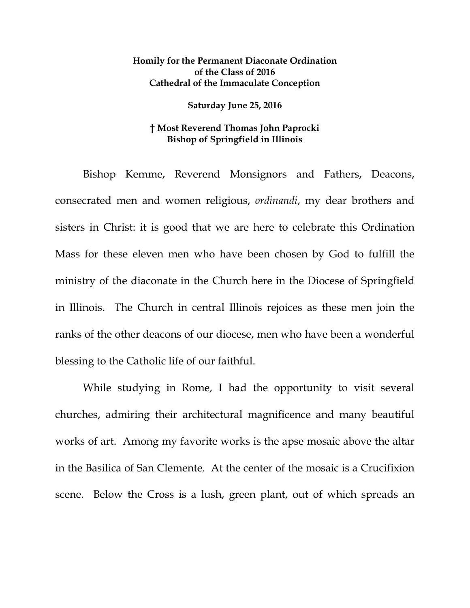## **Homily for the Permanent Diaconate Ordination of the Class of 2016 Cathedral of the Immaculate Conception**

## **Saturday June 25, 2016**

## **† Most Reverend Thomas John Paprocki Bishop of Springfield in Illinois**

Bishop Kemme, Reverend Monsignors and Fathers, Deacons, consecrated men and women religious, *ordinandi*, my dear brothers and sisters in Christ: it is good that we are here to celebrate this Ordination Mass for these eleven men who have been chosen by God to fulfill the ministry of the diaconate in the Church here in the Diocese of Springfield in Illinois. The Church in central Illinois rejoices as these men join the ranks of the other deacons of our diocese, men who have been a wonderful blessing to the Catholic life of our faithful.

While studying in Rome, I had the opportunity to visit several churches, admiring their architectural magnificence and many beautiful works of art. Among my favorite works is the apse mosaic above the altar in the Basilica of San Clemente. At the center of the mosaic is a Crucifixion scene. Below the Cross is a lush, green plant, out of which spreads an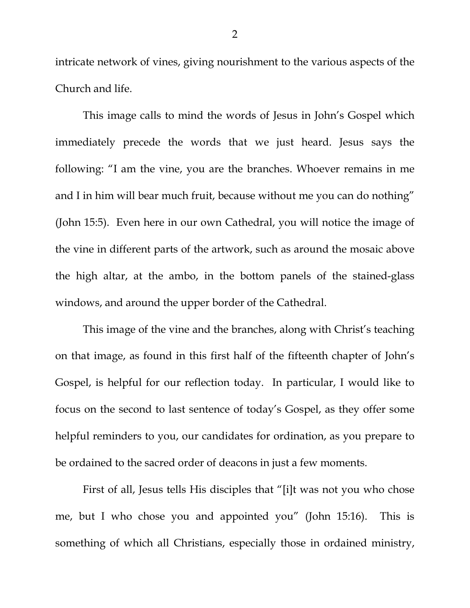intricate network of vines, giving nourishment to the various aspects of the Church and life.

This image calls to mind the words of Jesus in John's Gospel which immediately precede the words that we just heard. Jesus says the following: "I am the vine, you are the branches. Whoever remains in me and I in him will bear much fruit, because without me you can do nothing" (John 15:5). Even here in our own Cathedral, you will notice the image of the vine in different parts of the artwork, such as around the mosaic above the high altar, at the ambo, in the bottom panels of the stained-glass windows, and around the upper border of the Cathedral.

This image of the vine and the branches, along with Christ's teaching on that image, as found in this first half of the fifteenth chapter of John's Gospel, is helpful for our reflection today. In particular, I would like to focus on the second to last sentence of today's Gospel, as they offer some helpful reminders to you, our candidates for ordination, as you prepare to be ordained to the sacred order of deacons in just a few moments.

First of all, Jesus tells His disciples that "[i]t was not you who chose me, but I who chose you and appointed you" (John 15:16). This is something of which all Christians, especially those in ordained ministry,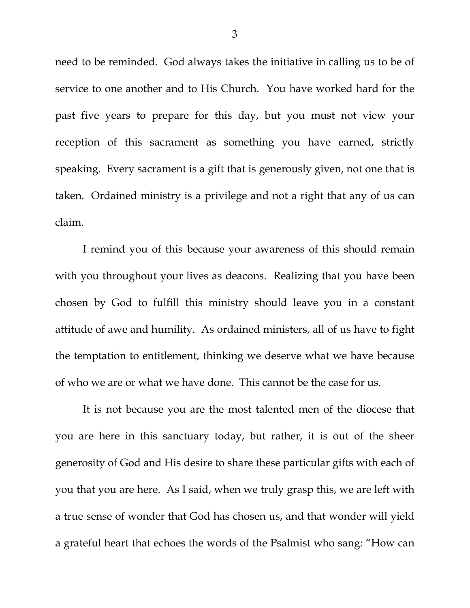need to be reminded. God always takes the initiative in calling us to be of service to one another and to His Church. You have worked hard for the past five years to prepare for this day, but you must not view your reception of this sacrament as something you have earned, strictly speaking. Every sacrament is a gift that is generously given, not one that is taken. Ordained ministry is a privilege and not a right that any of us can claim.

I remind you of this because your awareness of this should remain with you throughout your lives as deacons. Realizing that you have been chosen by God to fulfill this ministry should leave you in a constant attitude of awe and humility. As ordained ministers, all of us have to fight the temptation to entitlement, thinking we deserve what we have because of who we are or what we have done. This cannot be the case for us.

<span id="page-2-3"></span><span id="page-2-2"></span><span id="page-2-1"></span><span id="page-2-0"></span>It is not because you are the most talented men of the diocese that you are here in this sanctuary today, but rather, it is out of the sheer generosity of God and His desire to share these particular gifts with each of you that you are here. As I said, when we truly grasp this, we are left with a true sense of wonder that God has chosen us, and that wonder will yield a grateful heart that echoes the words of the Psalmist who sang: "How can

3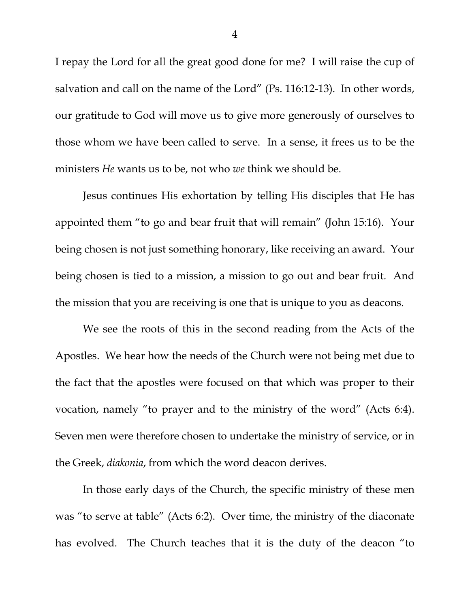I repay the Lord for all the great good done for me? I will raise the cup of salvation and call on the name of the Lord" (Ps. 116:12-13). In other words, our gratitude to God will move us to give more generously of ourselves to those whom we have been called to serve. In a sense, it frees us to be the ministers *He* wants us to be, not who *we* think we should be.

Jesus continues His exhortation by telling His disciples that He has appointed them "to go and bear fruit that will remain" (John 15:16). Your being chosen is not just something honorary, like receiving an award. Your being chosen is tied to a mission, a mission to go out and bear fruit. And the mission that you are receiving is one that is unique to you as deacons.

We see the roots of this in the second reading from the Acts of the Apostles. We hear how the needs of the Church were not being met due to the fact that the apostles were focused on that which was proper to their vocation, namely "to prayer and to the ministry of the word" (Acts 6:4). Seven men were therefore chosen to undertake the ministry of service, or in the Greek, *diakonia*, from which the word deacon derives.

In those early days of the Church, the specific ministry of these men was "to serve at table" (Acts 6:2). Over time, the ministry of the diaconate has evolved. The Church teaches that it is the duty of the deacon "to

4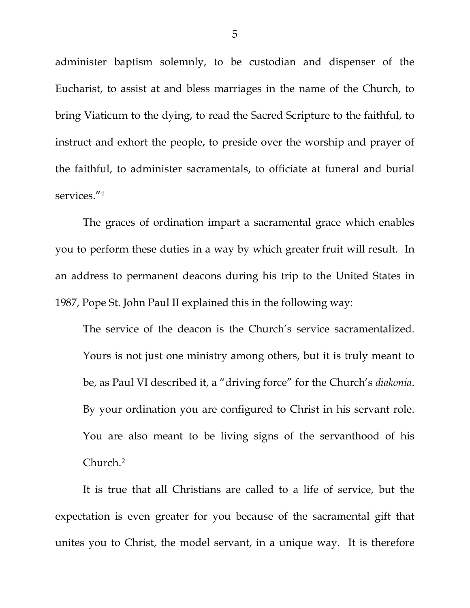administer baptism solemnly, to be custodian and dispenser of the Eucharist, to assist at and bless marriages in the name of the Church, to bring Viaticum to the dying, to read the Sacred Scripture to the faithful, to instruct and exhort the people, to preside over the worship and prayer of the faithful, to administer sacramentals, to officiate at funeral and burial services."<sup>[1](#page-2-0)</sup>

The graces of ordination impart a sacramental grace which enables you to perform these duties in a way by which greater fruit will result. In an address to permanent deacons during his trip to the United States in 1987, Pope St. John Paul II explained this in the following way:

The service of the deacon is the Church's service sacramentalized. Yours is not just one ministry among others, but it is truly meant to be, as Paul VI described it, a "driving force" for the Church's *diakonia*. By your ordination you are configured to Christ in his servant role. You are also meant to be living signs of the servanthood of his Church[.2](#page-2-1)

It is true that all Christians are called to a life of service, but the expectation is even greater for you because of the sacramental gift that unites you to Christ, the model servant, in a unique way. It is therefore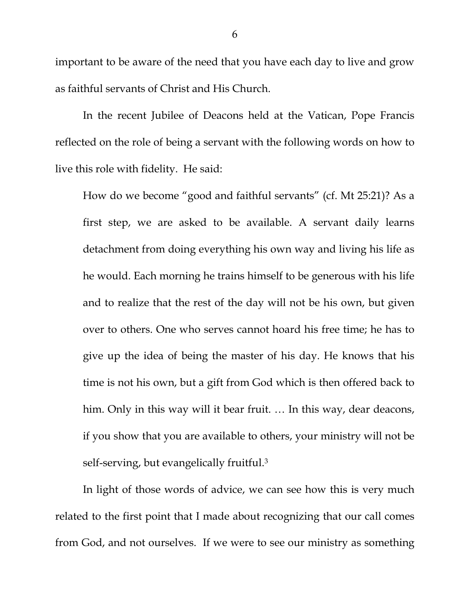important to be aware of the need that you have each day to live and grow as faithful servants of Christ and His Church.

In the recent Jubilee of Deacons held at the Vatican, Pope Francis reflected on the role of being a servant with the following words on how to live this role with fidelity. He said:

How do we become "good and faithful servants" (cf. Mt 25:21)? As a first step, we are asked to be available. A servant daily learns detachment from doing everything his own way and living his life as he would. Each morning he trains himself to be generous with his life and to realize that the rest of the day will not be his own, but given over to others. One who serves cannot hoard his free time; he has to give up the idea of being the master of his day. He knows that his time is not his own, but a gift from God which is then offered back to him. Only in this way will it bear fruit. ... In this way, dear deacons, if you show that you are available to others, your ministry will not be self-serving, but evangelically fruitful.[3](#page-2-2)

In light of those words of advice, we can see how this is very much related to the first point that I made about recognizing that our call comes from God, and not ourselves. If we were to see our ministry as something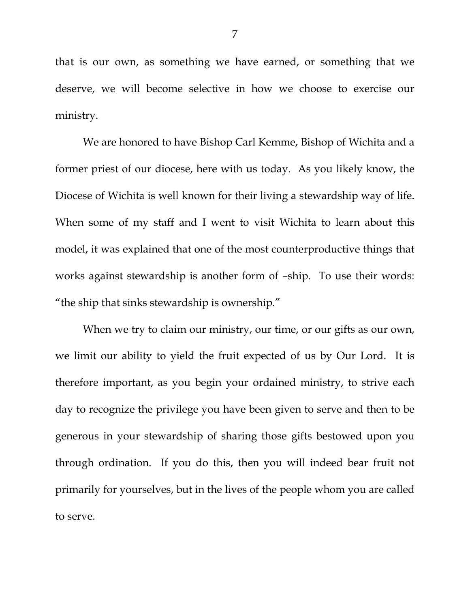that is our own, as something we have earned, or something that we deserve, we will become selective in how we choose to exercise our ministry.

We are honored to have Bishop Carl Kemme, Bishop of Wichita and a former priest of our diocese, here with us today. As you likely know, the Diocese of Wichita is well known for their living a stewardship way of life. When some of my staff and I went to visit Wichita to learn about this model, it was explained that one of the most counterproductive things that works against stewardship is another form of –ship. To use their words: "the ship that sinks stewardship is ownership."

When we try to claim our ministry, our time, or our gifts as our own, we limit our ability to yield the fruit expected of us by Our Lord. It is therefore important, as you begin your ordained ministry, to strive each day to recognize the privilege you have been given to serve and then to be generous in your stewardship of sharing those gifts bestowed upon you through ordination. If you do this, then you will indeed bear fruit not primarily for yourselves, but in the lives of the people whom you are called to serve.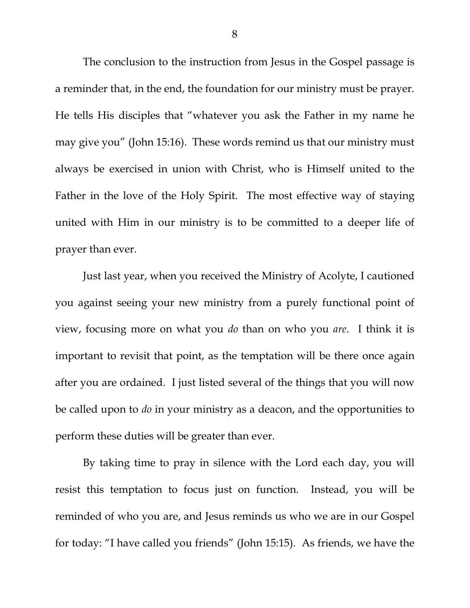The conclusion to the instruction from Jesus in the Gospel passage is a reminder that, in the end, the foundation for our ministry must be prayer. He tells His disciples that "whatever you ask the Father in my name he may give you" (John 15:16). These words remind us that our ministry must always be exercised in union with Christ, who is Himself united to the Father in the love of the Holy Spirit. The most effective way of staying united with Him in our ministry is to be committed to a deeper life of prayer than ever.

Just last year, when you received the Ministry of Acolyte, I cautioned you against seeing your new ministry from a purely functional point of view, focusing more on what you *do* than on who you *are*. I think it is important to revisit that point, as the temptation will be there once again after you are ordained. I just listed several of the things that you will now be called upon to *do* in your ministry as a deacon, and the opportunities to perform these duties will be greater than ever.

By taking time to pray in silence with the Lord each day, you will resist this temptation to focus just on function. Instead, you will be reminded of who you are, and Jesus reminds us who we are in our Gospel for today: "I have called you friends" (John 15:15). As friends, we have the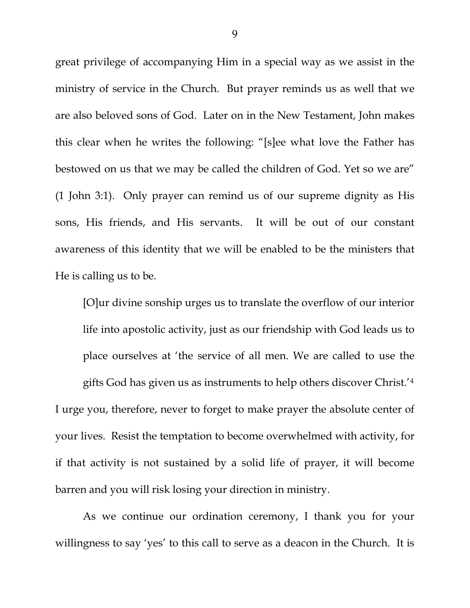great privilege of accompanying Him in a special way as we assist in the ministry of service in the Church. But prayer reminds us as well that we are also beloved sons of God. Later on in the New Testament, John makes this clear when he writes the following: "[s]ee what love the Father has bestowed on us that we may be called the children of God. Yet so we are" (1 John 3:1). Only prayer can remind us of our supreme dignity as His sons, His friends, and His servants. It will be out of our constant awareness of this identity that we will be enabled to be the ministers that He is calling us to be.

[O]ur divine sonship urges us to translate the overflow of our interior life into apostolic activity, just as our friendship with God leads us to place ourselves at 'the service of all men. We are called to use the gifts God has given us as instruments to help others discover Christ.['4](#page-2-3) I urge you, therefore, never to forget to make prayer the absolute center of your lives. Resist the temptation to become overwhelmed with activity, for if that activity is not sustained by a solid life of prayer, it will become barren and you will risk losing your direction in ministry.

As we continue our ordination ceremony, I thank you for your willingness to say 'yes' to this call to serve as a deacon in the Church. It is

9